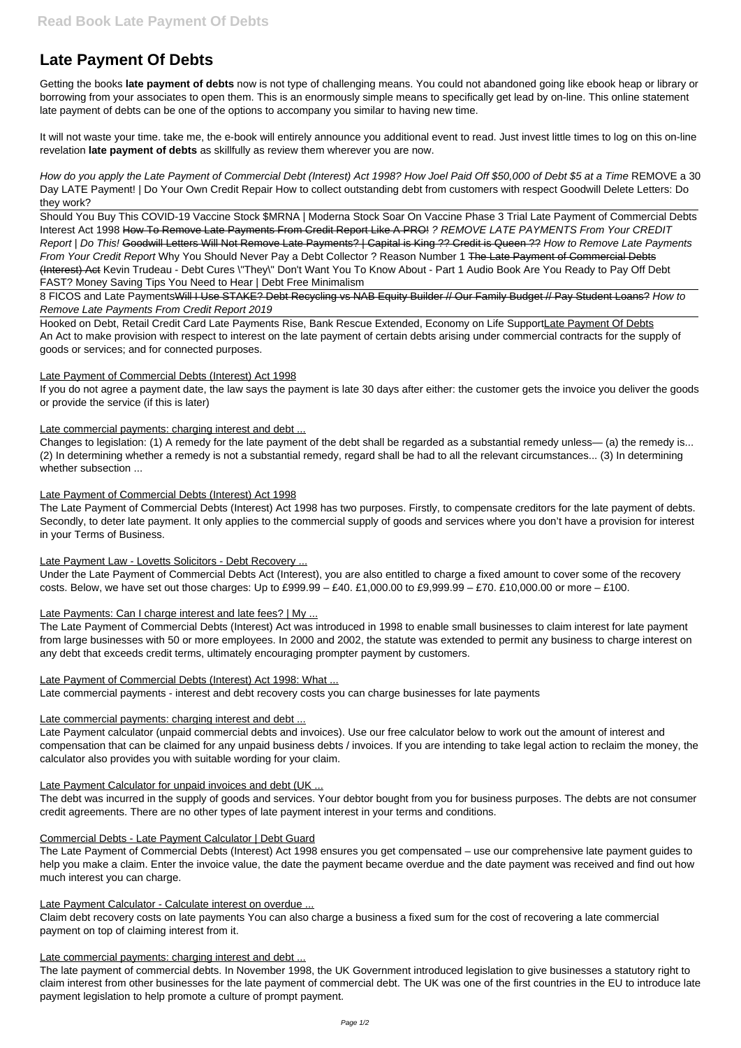# **Late Payment Of Debts**

Getting the books **late payment of debts** now is not type of challenging means. You could not abandoned going like ebook heap or library or borrowing from your associates to open them. This is an enormously simple means to specifically get lead by on-line. This online statement late payment of debts can be one of the options to accompany you similar to having new time.

It will not waste your time. take me, the e-book will entirely announce you additional event to read. Just invest little times to log on this on-line revelation **late payment of debts** as skillfully as review them wherever you are now.

How do you apply the Late Payment of Commercial Debt (Interest) Act 1998? How Joel Paid Off \$50,000 of Debt \$5 at a Time REMOVE a 30 Day LATE Payment! | Do Your Own Credit Repair How to collect outstanding debt from customers with respect Goodwill Delete Letters: Do they work?

8 FICOS and Late PaymentsWill I Use STAKE? Debt Recycling vs NAB Equity Builder // Our Family Budget // Pay Student Loans? How to Remove Late Payments From Credit Report 2019

Hooked on Debt, Retail Credit Card Late Payments Rise, Bank Rescue Extended, Economy on Life SupportLate Payment Of Debts An Act to make provision with respect to interest on the late payment of certain debts arising under commercial contracts for the supply of goods or services; and for connected purposes.

Should You Buy This COVID-19 Vaccine Stock \$MRNA | Moderna Stock Soar On Vaccine Phase 3 Trial Late Payment of Commercial Debts Interest Act 1998 How To Remove Late Payments From Credit Report Like A PRO! ? REMOVE LATE PAYMENTS From Your CREDIT Report | Do This! Goodwill Letters Will Not Remove Late Payments? | Capital is King ?? Credit is Queen ?? How to Remove Late Payments From Your Credit Report Why You Should Never Pay a Debt Collector ? Reason Number 1 The Late Payment of Commercial Debts (Interest) Act Kevin Trudeau - Debt Cures \"They\" Don't Want You To Know About - Part 1 Audio Book Are You Ready to Pay Off Debt FAST? Money Saving Tips You Need to Hear | Debt Free Minimalism

Under the Late Payment of Commercial Debts Act (Interest), you are also entitled to charge a fixed amount to cover some of the recovery costs. Below, we have set out those charges: Up to  $£999.99 - £40. £1,000.00$  to  $£9,999.99 - £70. £10,000.00$  or more  $-£100.$ 

### Late Payments: Can I charge interest and late fees? | My ...

### Late Payment of Commercial Debts (Interest) Act 1998

If you do not agree a payment date, the law says the payment is late 30 days after either: the customer gets the invoice you deliver the goods or provide the service (if this is later)

Late commercial payments: charging interest and debt ...

Changes to legislation: (1) A remedy for the late payment of the debt shall be regarded as a substantial remedy unless— (a) the remedy is... (2) In determining whether a remedy is not a substantial remedy, regard shall be had to all the relevant circumstances... (3) In determining whether subsection ...

Late Payment of Commercial Debts (Interest) Act 1998

The Late Payment of Commercial Debts (Interest) Act 1998 has two purposes. Firstly, to compensate creditors for the late payment of debts. Secondly, to deter late payment. It only applies to the commercial supply of goods and services where you don't have a provision for interest in your Terms of Business.

### Late Payment Law - Lovetts Solicitors - Debt Recovery ...

The Late Payment of Commercial Debts (Interest) Act was introduced in 1998 to enable small businesses to claim interest for late payment from large businesses with 50 or more employees. In 2000 and 2002, the statute was extended to permit any business to charge interest on any debt that exceeds credit terms, ultimately encouraging prompter payment by customers.

### Late Payment of Commercial Debts (Interest) Act 1998: What ...

Late commercial payments - interest and debt recovery costs you can charge businesses for late payments

Late commercial payments: charging interest and debt ...

Late Payment calculator (unpaid commercial debts and invoices). Use our free calculator below to work out the amount of interest and compensation that can be claimed for any unpaid business debts / invoices. If you are intending to take legal action to reclaim the money, the calculator also provides you with suitable wording for your claim.

#### Late Payment Calculator for unpaid invoices and debt (UK ...

The debt was incurred in the supply of goods and services. Your debtor bought from you for business purposes. The debts are not consumer credit agreements. There are no other types of late payment interest in your terms and conditions.

#### Commercial Debts - Late Payment Calculator | Debt Guard

The Late Payment of Commercial Debts (Interest) Act 1998 ensures you get compensated – use our comprehensive late payment guides to help you make a claim. Enter the invoice value, the date the payment became overdue and the date payment was received and find out how much interest you can charge.

#### Late Payment Calculator - Calculate interest on overdue ...

Claim debt recovery costs on late payments You can also charge a business a fixed sum for the cost of recovering a late commercial payment on top of claiming interest from it.

#### Late commercial payments: charging interest and debt ...

The late payment of commercial debts. In November 1998, the UK Government introduced legislation to give businesses a statutory right to claim interest from other businesses for the late payment of commercial debt. The UK was one of the first countries in the EU to introduce late payment legislation to help promote a culture of prompt payment.